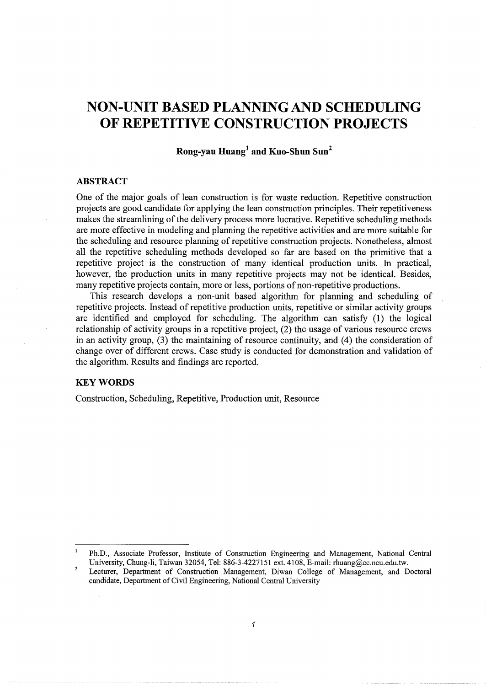# **NON-UNIT BASED PLANNING AND SCHEDULING OF REPETITIVE CONSTRUCTION PROJECTS**

**Rong-yau Huang1 and Kuo-Shun Sun2** 

# **ABSTRACT**

One of the major goals of lean construction is for waste reduction. Repetitive construction projects are good candidate for applying the lean construction principles. Their repetitiveness makes the streamlining of the delivery process more lucrative. Repetitive scheduling methods are more effective in modeling and planning the repetitive activities and are more suitable for the scheduling and resource planning of repetitive construction projects. Nonetheless, almost all the repetitive scheduling methods developed so far are based on the primitive that a repetitive project is the construction of many identical production units. In practical, however, the production units in many repetitive projects may not be identical. Besides, many repetitive projects contain, more or less, portions of non-repetitive productions.

This research develops a non-unit based algorithm for planning and scheduling of repetitive projects. Instead of repetitive production units, repetitive or similar activity groups are identified and employed for scheduling. The algorithm can satisfy (1) the logical relationship of activity groups in a repetitive project, (2) the usage of various resource crews in an activity group, (3) the maintaining of resource continuity, and (4) the consideration of change over of different crews. Case study is conducted for demonstration and validation of the algorithm. Results and findings are reported.

## **KEYWORDS**

Construction, Scheduling, Repetitive, Production unit, Resource

 $\mathbf{I}$ Ph.D., Associate Professor, Institute of Construction Engineering and Management, National Central University, Chung-li, Taiwan 32054, Tel: 886-3-4227151 ext. 4108, E-mail: rhuang@cc.ncu.edu.tw.

<sup>2</sup>  Lecturer, Department of Construction Management, Diwan College of Management, and Doctoral candidate, Department of Civil Engineering, National Central University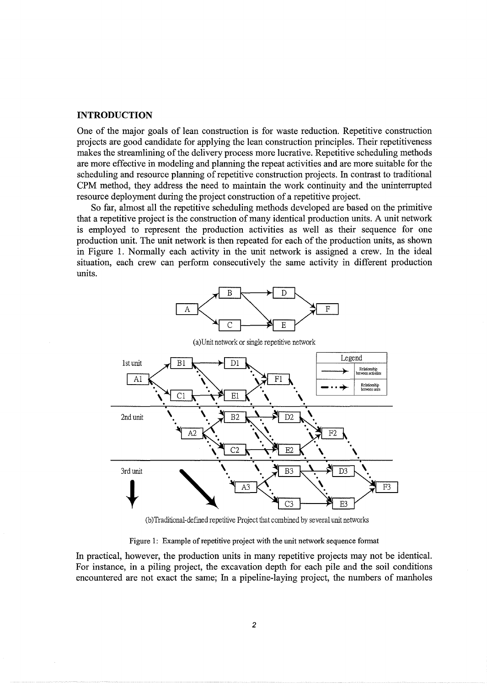#### **INTRODUCTION**

One of the major goals of lean construction is for waste reduction. Repetitive construction projects are good candidate for applying the lean construction principles. Their repetitiveness makes the streamlining of the delivery process more lucrative. Repetitive scheduling methods are more effective in modeling and planning the repeat activities and are more suitable for the scheduling and resource planning of repetitive construction projects. In contrast to traditional CPM method, they address the need to maintain the work continuity and the uninterrupted resource deployment during the project construction of a repetitive project.

So far, almost all the repetitive scheduling methods developed are based on the primitive that a repetitive project is the construction of many identical production units. A unit network is employed to represent the production activities as well as their sequence for one production unit. The unit network is then repeated for each of the production units, as shown in Figure 1. Normally each activity in the unit network is assigned a crew. In the ideal situation, each crew can perform consecutively the same activity in different production units.



(b)Traditional-defined repetitive Project that combined by several unit networks

Figure 1: Example of repetitive project with the unit network sequence format

In practical, however, the production units in many repetitive projects may not be identical. For instance, in a piling project, the excavation depth for each pile and the soil conditions encountered are not exact the same; In a pipeline-laying project, the numbers of manholes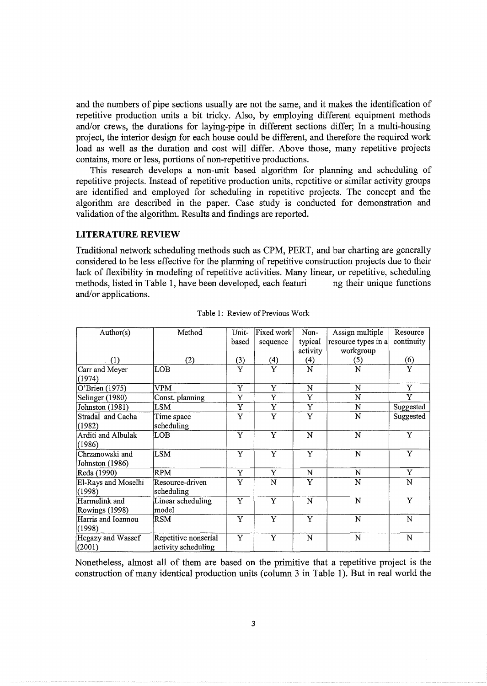and the numbers of pipe sections usually are not the same, and it makes the identification of repetitive production units a bit tricky. Also, by employing different equipment methods and/or crews, the durations for laying-pipe in different sections differ; In a multi-housing project, the interior design for each house could be different, and therefore the required work load as well as the duration and cost will differ. Above those, many repetitive projects contains, more or less, portions of non-repetitive productions.

This research develops a non-unit based algorithm for planning and scheduling of repetitive projects. Instead of repetitive production units, repetitive or similar activity groups are identified and employed for scheduling in repetitive projects. The concept and the algorithm are described in the paper. Case study is conducted for demonstration and validation of the algorithm. Results and findings are reported.

# **LITERATURE REVIEW**

Traditional network scheduling methods such as CPM, PERT, and bar charting are generally considered to be less effective for the planning of repetitive construction projects due to their lack of flexibility in modeling of repetitive activities. Many linear, or repetitive, scheduling methods, listed in Table 1, have been developed, each featuri ng their unique functions and/or applications.

| Author(s)           | Method               | Unit- | Fixed work            | Non-                    | Assign multiple     | Resource                |
|---------------------|----------------------|-------|-----------------------|-------------------------|---------------------|-------------------------|
|                     |                      | based | sequence              | typical                 | resource types in a | continuity              |
|                     |                      |       |                       | activity                | workgroup           |                         |
| (1)                 | (2)                  | (3)   | (4)                   | (4)                     | (5)                 | (6)                     |
| Carr and Meyer      | <b>LOB</b>           | Y     | Y                     | N                       | N                   | Y                       |
| (1974)              |                      |       |                       |                         |                     |                         |
| O'Brien (1975)      | <b>VPM</b>           | Y     | Y                     | N                       | N                   | Y                       |
| Selinger (1980)     | Const. planning      | Y     | Y                     | Y                       | $\mathbf N$         | Y                       |
| Johnston (1981)     | LSM                  | Y     | Y                     | Y                       | N                   | Suggested               |
| Stradal and Cacha   | Time space           | Y     | Y                     | $\overline{\mathrm{Y}}$ | N                   | Suggested               |
| (1982)              | scheduling           |       |                       |                         |                     |                         |
| Arditi and Albulak  | LOB                  | Y     | Y                     | N                       | N                   | Y                       |
| (1986)              |                      |       |                       |                         |                     |                         |
| Chrzanowski and     | <b>LSM</b>           | Y     | Y                     | Y                       | N                   | $\overline{\mathrm{Y}}$ |
| Johnston (1986)     |                      |       |                       |                         |                     |                         |
| Reda (1990)         | <b>RPM</b>           | Y     | Y                     | N                       | N                   | Y                       |
| El-Rays and Moselhi | Resource-driven      | Y     | N                     | Y                       | N                   | N                       |
| (1998)              | scheduling           |       |                       |                         |                     |                         |
| Harmelink and       | Linear scheduling    | Y     | Y                     | N                       | $\mathbf N$         | Y                       |
| Rowings (1998)      | model                |       |                       |                         |                     |                         |
| Harris and Ioannou  | <b>RSM</b>           | Y     | $\overline{\text{Y}}$ | Y                       | N                   | N                       |
| (1998)              |                      |       |                       |                         |                     |                         |
| Hegazy and Wassef   | Repetitive nonserial | Y     | $\overline{\text{Y}}$ | N                       | N                   | N                       |
| (2001)              | activity scheduling  |       |                       |                         |                     |                         |

Table 1: Review of Previous Work

Nonetheless, almost all of them are based on the primitive that a repetitive project is the construction of many identical production units (column 3 in Table 1). But in real world the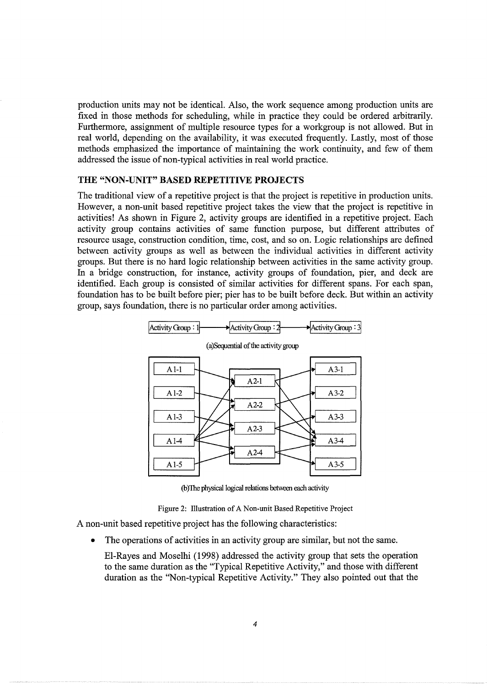production units may not be identical. Also, the work sequence among production units are fixed in those methods for scheduling, while in practice they could be ordered arbitrarily. Furthermore, assignment of multiple resource types for a workgroup is not allowed. But in real world, depending on the availability, it was executed frequently. Lastly, most of those methods emphasized the importance of maintaining the work continuity, and few of them addressed the issue of non-typical activities in real world practice.

## **THE "NON-UNIT" BASED REPETITIVE PROJECTS**

The traditional view of a repetitive project is that the project is repetitive in production units. However, a non-unit based repetitive project takes the view that the project is repetitive in activities! As shown in Figure 2, activity groups are identified in a repetitive project. Each activity group contains activities of same function purpose, but different attributes of resource usage, construction condition, time, cost, and so on. Logic relationships are defined between activity groups as well as between the individual activities in different activity groups. But there is no hard logic relationship between activities in the same activity group. In a bridge construction, for instance, activity groups of foundation, pier, and deck are identified. Each group is consisted of similar activities for different spans. For each span, foundation has to be built before pier; pier has to be built before deck. But within an activity group, says foundation, there is no particular order among activities.



(b) The physical logical relations between each activity

Figure 2: Illustration of A Non-unit Based Repetitive Project

A non-unit based repetitive project has the following characteristics:

- The operations of activities in an activity group are similar, but not the same.
	- El-Rayes and Moselhi (1998) addressed the activity group that sets the operation to the same duration as the "Typical Repetitive Activity," and those with different duration as the ''Non-typical Repetitive Activity." They also pointed out that the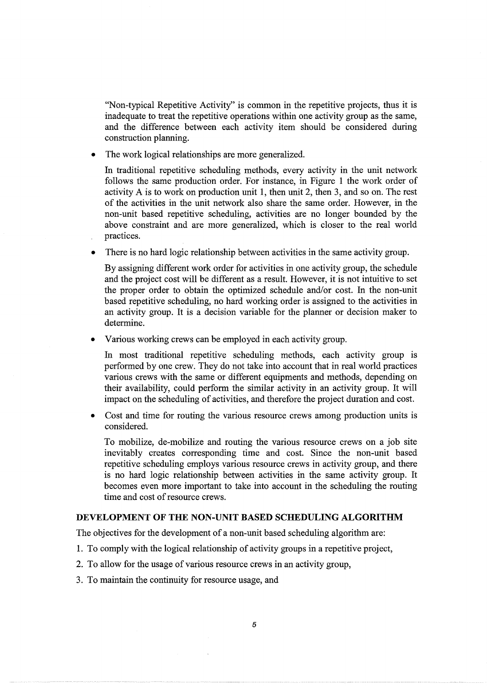"Non-typical Repetitive Activity" is common in the repetitive projects, thus it is inadequate to treat the repetitive operations within one activity group as the same, and the difference between each activity item should be considered during construction planning.

The work logical relationships are more generalized.

In traditional repetitive scheduling methods, every activity in the unit network follows the same production order. For instance, in Figure **1** the work order of activity A is to work on production unit **1,** then unit 2, then 3, and so on. The rest of the activities in the unit network also share the same order. However, in the non-unit based repetitive scheduling, activities are no longer bounded by the above constraint and are more generalized, which is closer to the real world practices.

• There is no hard logic relationship between activities in the same activity group.

By assigning different work order for activities in one activity group, the schedule and the project cost will be different as a result. However, it is not intuitive to set the proper order to obtain the optimized schedule and/or cost. In the non-unit based repetitive scheduling, no hard working order is assigned to the activities in an activity group. It is a decision variable for the planner or decision maker to determine.

• Various working crews can be employed in each activity group.

In most traditional repetitive scheduling methods, each activity group is performed by one crew. They do not take into account that in real world practices various crews with the same or different equipments and methods, depending on their availability, could perform the similar activity in an activity group. It will impact on the scheduling of activities, and therefore the project duration and cost.

• Cost and time for routing the various resource crews among production units is considered.

To mobilize, de-mobilize and routing the various resource crews on a job site inevitably creates corresponding time and cost. Since the non-unit based repetitive scheduling employs various resource crews in activity group, and there is no hard logic relationship between activities in the same activity group. It becomes even more important to take into account in the scheduling the routing time and cost of resource crews.

## **DEVELOPMENT OF THE NON-UNIT BASED SCHEDULING ALGORITHM**

The objectives for the development of a non-unit based scheduling algorithm are:

- 1. To comply with the logical relationship of activity groups in a repetitive project,
- 2. To allow for the usage of various resource crews in an activity group,
- 3. To maintain the continuity for resource usage, and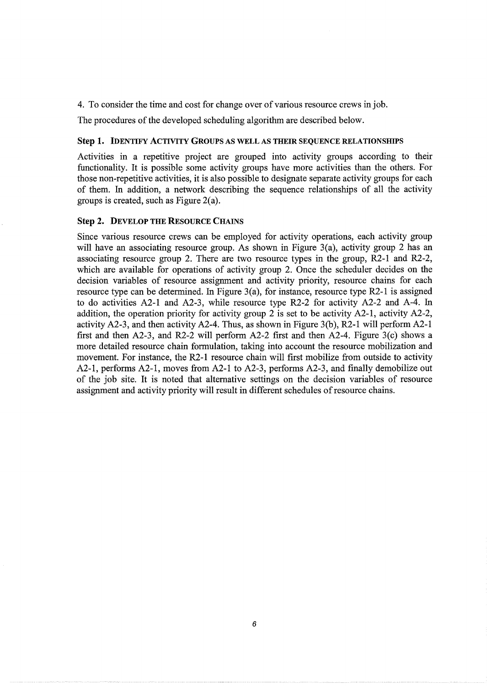4. To consider the time and cost for change over of various resource crews in job.

The procedures of the developed scheduling algorithm are described below.

## Step 1. IDENTIFY ACTIVITY GROUPS AS WELL AS THEIR SEQUENCE RELATIONSHIPS

Activities in a repetitive project are grouped into activity groups according to their functionality. It is possible some activity groups have more activities than the others. For those non-repetitive activities, it is also possible to designate separate activity groups for each of them. In addition, a network describing the sequence relationships of all the activity groups is created, such as Figure 2(a).

# Step 2. DEVELOP THE RESOURCE CHAINS

Since various resource crews can be employed for activity operations, each activity group will have an associating resource group. As shown in Figure 3(a), activity group 2 has an associating resource group 2. There are two resource types in the group, R2-1 and R2-2, which are available for operations of activity group 2. Once the scheduler decides on the decision variables of resource assignment and activity priority, resource chains for each resource type can be determined. In Figure 3(a), for instance, resource type R2-1 is assigned to do activities A2-l and A2-3, while resource type R2-2 for activity A2-2 and A-4. In addition, the operation priority for activity group 2 is set to be activity A2-1, activity A2-2, activity A2-3, and then activity A2-4. Thus, as shown in Figure 3(b), R2-l will perform A2-1 first and then A2-3, and R2-2 will perform A2-2 first and then A2-4. Figure 3(c) shows a more detailed resource chain formulation, taking into account the resource mobilization and movement. For instance, the R2-1 resource chain will first mobilize from outside to activity A2-1, performs A2-1, moves from A2-1 to A2-3, performs A2-3, and finally demobilize out of the job site. It is noted that alternative settings on the decision variables of resource assignment and activity priority will result in different schedules of resource chains.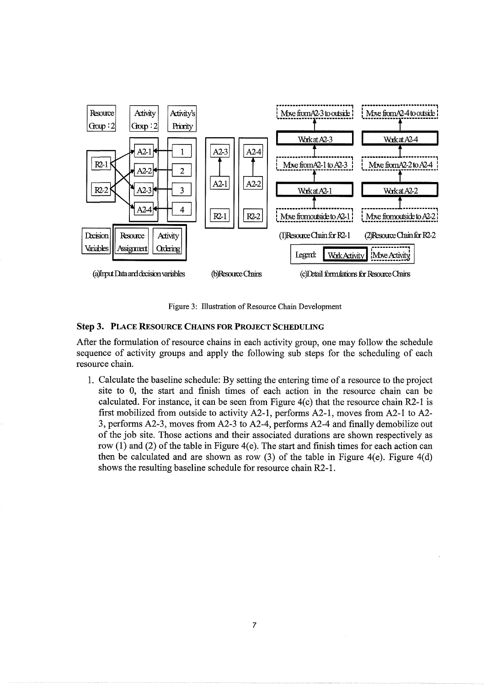

Figure 3: Illustration of Resource Chain Development

#### Step 3. PLACE RESOURCE CHAINS FOR PROJECT SCHEDULING

After the formulation of resource chains in each activity group, one may follow the schedule sequence of activity groups and apply the following sub steps for the scheduling of each resource chain.

1. Calculate the baseline schedule: By setting the entering time of a resource to the project site to 0, the start and finish times of each action in the resource chain can be calculated. For instance, it can be seen from Figure 4(c) that the resource chain R2-1 is first mobilized from outside to activity A2-1, performs A2-1, moves from A2-l to A2- 3, performs A2-3, moves from A2-3 to A2-4, performs A2-4 and finally demobilize out of the job site. Those actions and their associated durations are shown respectively as row  $(1)$  and  $(2)$  of the table in Figure 4(e). The start and finish times for each action can then be calculated and are shown as row  $(3)$  of the table in Figure 4(e). Figure 4(d) shows the resulting baseline schedule for resource chain R2-l.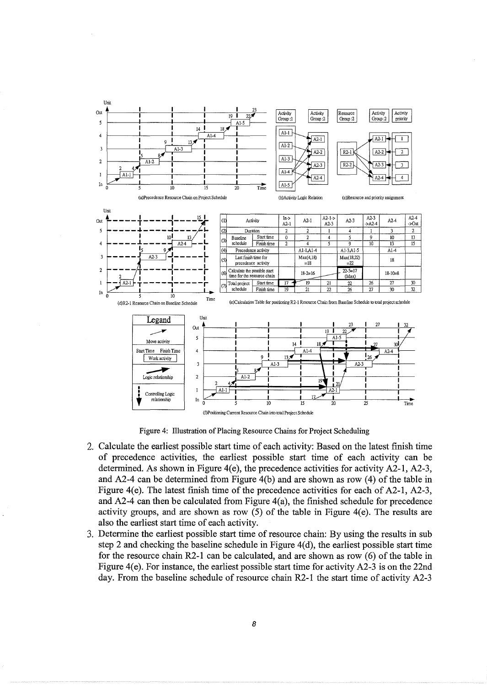

Figure 4: lllustration of Placing Resource Chains for Project Scheduling

- 2. Calculate the earliest possible start time of each activity: Based on the latest finish time of precedence activities, the earliest possible start time of each activity can be determined. As shown in Figure 4(e), the precedence activities for activity A2-1, A2-3, and A2-4 can be determined from Figure  $4(b)$  and are shown as row (4) of the table in Figure 4(e). The latest finish time of the precedence activities for each of A2-l, A2-3, and  $A2-4$  can then be calculated from Figure 4(a), the finished schedule for precedence activity groups, and are shown as row (5) of the table in Figure 4(e). The results are also the earliest start time of each activity.
- 3. Determine the earliest possible start time of resource chain: By using the results in sub step 2 and checking the baseline schedule in Figure  $4(d)$ , the earliest possible start time for the resource chain R2-l can be calculated, and are shown as row (6) of the table in Figure 4(e). For instance, the earliest possible start time for activity A2-3 is on the 22nd day. From the baseline schedule of resource chain R2-1 the start time of activity A2-3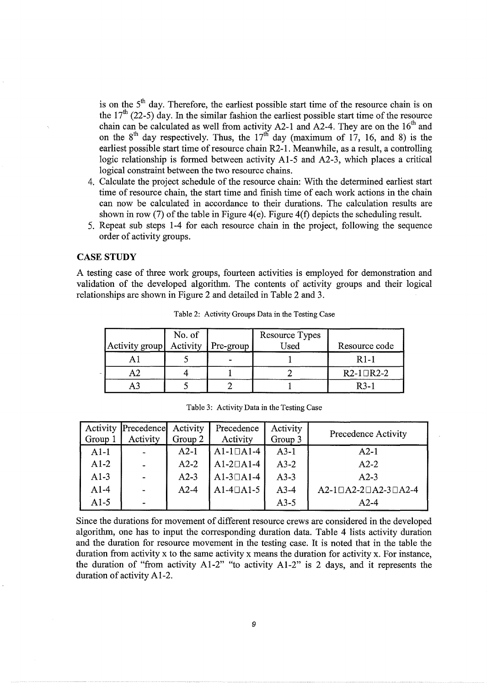is on the  $5<sup>th</sup>$  day. Therefore, the earliest possible start time of the resource chain is on the  $17<sup>th</sup>$  (22-5) day. In the similar fashion the earliest possible start time of the resource chain can be calculated as well from activity  $A2-1$  and  $A2-4$ . They are on the  $16<sup>th</sup>$  and on the  $8<sup>th</sup>$  day respectively. Thus, the  $17<sup>th</sup>$  day (maximum of 17, 16, and 8) is the earliest possible start time of resource chain R2-1. Meanwhile, as a result, a controlling logic relationship is formed between activity Al-5 and A2-3, which places a critical logical constraint between the two resource chains.

- 4. Calculate the project schedule of the resource chain: With the determined earliest start time of resource chain, the start time and finish time of each work actions in the chain can now be calculated in accordance to their durations. The calculation results are shown in row (7) of the table in Figure 4(e). Figure 4(f) depicts the scheduling result.
- 5. Repeat sub steps 1-4 for each resource chain in the project, following the sequence order of activity groups.

## CASE **STUDY**

A testing case of three work groups, fourteen activities is employed for demonstration and validation of the developed algorithm. The contents of activity groups and their logical relationships are shown in Figure 2 and detailed in Table 2 and 3.

|   | Activity group | No. of<br>Activity | $\vert$ Pre-group $\vert$ | Resource Types<br>Used | Resource code     |
|---|----------------|--------------------|---------------------------|------------------------|-------------------|
|   |                |                    |                           |                        | R <sub>1</sub> -1 |
| ÷ |                |                    |                           |                        | $R2-1$ DR2-2      |
|   |                |                    |                           |                        | $R3-1$            |

Table 2: Activity Groups Data in the Testing Case

|         | Activity Precedence Activity |         | Precedence      | Activity |                                   |
|---------|------------------------------|---------|-----------------|----------|-----------------------------------|
| Group 1 | Activity                     | Group 2 | Activity        | Group 3  | Precedence Activity               |
| $A1-1$  |                              | $A2-1$  | $A1-1\Box A1-4$ | $A3-1$   | $A2-1$                            |
| $A1-2$  |                              | $A2-2$  | $A1-2\Box A1-4$ | $A3-2$   | $A2-2$                            |
| $A1-3$  |                              | $A2-3$  | $A1-3\Box A1-4$ | $A3-3$   | $A2-3$                            |
| $A1-4$  |                              | $A2-4$  | $A1-4\Box A1-5$ | $A3-4$   | $A2-1\Box A2-2\Box A2-3\Box A2-4$ |
| $A1-5$  |                              |         |                 | $A3-5$   | $A2-4$                            |

Table 3: Activity Data in the Testing Case

Since the durations for movement of different resource crews are considered in the developed algorithm, one has to input the corresponding duration data. Table 4 lists activity duration and the duration for resource movement in the testing case. It is noted that in the table the duration from activity x to the same activity x means the duration for activity x. For instance, the duration of "from activity Al-2" "to activity Al-2" is 2 days, and it represents the duration of activity Al-2.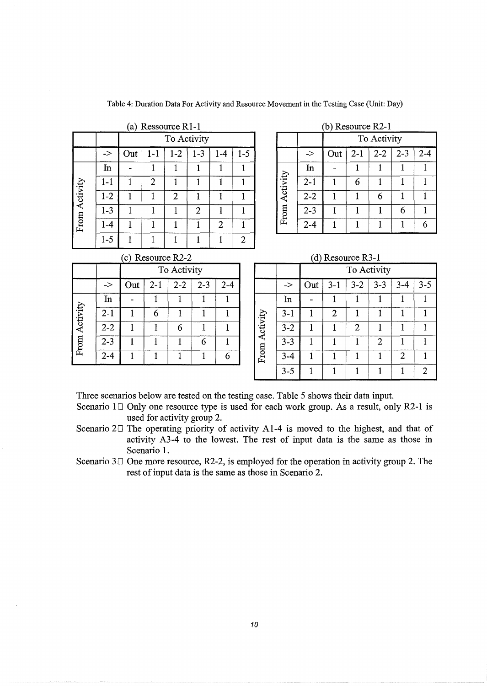|          |               |     |                     | (a) Ressource R1-1 |                |    |        |  |          |         | $(b)$ Resource R2-1 |       |             |         |         |
|----------|---------------|-----|---------------------|--------------------|----------------|----|--------|--|----------|---------|---------------------|-------|-------------|---------|---------|
|          |               |     |                     | To Activity        |                |    |        |  |          |         |                     |       | To Activity |         |         |
|          | $\rightarrow$ | Out | $\lfloor - \rfloor$ | $-2$               | 1-3            | -4 | $1-5$  |  |          | ->      | Out                 | $2-1$ | $2 - 2$     | $2 - 3$ | $2 - 4$ |
|          | In            | -   |                     |                    |                |    |        |  |          | In      | -                   |       |             |         |         |
|          | 1-1           |     | っ                   |                    |                |    |        |  | Activity | $2 - 1$ |                     | 6     |             |         |         |
| Activity | $1 - 2$       |     |                     | 2                  |                |    |        |  |          | $2 - 2$ |                     |       | 6           |         |         |
|          | $1 - 3$       |     |                     |                    | $\overline{2}$ |    |        |  | From     | $2 - 3$ |                     |       |             | 6       |         |
| From     | $-4$          |     |                     |                    |                | 2  |        |  |          | $2 - 4$ |                     |       |             |         | 6       |
|          | $1 - 5$       |     |                     |                    |                |    | ി<br>ے |  |          |         |                     |       |             |         |         |

|  | Table 4: Duration Data For Activity and Resource Movement in the Testing Case (Unit: Day) |  |  |
|--|-------------------------------------------------------------------------------------------|--|--|
|--|-------------------------------------------------------------------------------------------|--|--|

|                | urce $R1-1$<br>(b) Resource R2-1 |         |     |  |          |               |     |         |         |         |         |
|----------------|----------------------------------|---------|-----|--|----------|---------------|-----|---------|---------|---------|---------|
| To Activity    |                                  |         |     |  |          | To Activity   |     |         |         |         |         |
| $1-2$          | $1 - 3$                          | $1 - 4$ | 1-5 |  |          | $\Rightarrow$ | Out | $2 - 1$ | $2 - 2$ | $2 - 3$ | $2 - 4$ |
|                |                                  |         |     |  |          | $\ln$         |     |         |         |         |         |
|                |                                  |         |     |  | Activity | $2 - 1$       |     | 6       |         |         |         |
| $\overline{2}$ |                                  |         |     |  |          | $2 - 2$       |     |         | 6       |         |         |
|                | $\mathcal{D}$                    |         |     |  | From     | $2 - 3$       |     |         |         | 6       |         |
|                |                                  | ◠       |     |  |          | $2 - 4$       |     |         |         |         |         |

## $(c)$  Resource R2-2

|          |         |     | To Activity |         |         |         |  |  |  |  |  |
|----------|---------|-----|-------------|---------|---------|---------|--|--|--|--|--|
|          | ->      | Out | $2 - 1$     | $2 - 2$ | $2 - 3$ | $2 - 4$ |  |  |  |  |  |
|          | In      |     |             |         |         |         |  |  |  |  |  |
| Activity | $2 - 1$ |     | 6           |         |         |         |  |  |  |  |  |
|          | $2 - 2$ |     |             | 6       |         |         |  |  |  |  |  |
| From     | $2 - 3$ |     |             |         |         |         |  |  |  |  |  |
|          | $2 - 4$ |     |             |         |         |         |  |  |  |  |  |

|  | $(d)$ Resource R3-1 |  |
|--|---------------------|--|
|  |                     |  |

|          |         |     |         | To Activity |         |         |          |         |     |                | To Activity    |         |                |         |
|----------|---------|-----|---------|-------------|---------|---------|----------|---------|-----|----------------|----------------|---------|----------------|---------|
|          | ->      | Out | $2 - 1$ | $2 - 2$     | $2 - 3$ | $2 - 4$ |          | ->      | Out | $3 - 1$        | $3 - 2$        | $3 - 3$ | $3 - 4$        | $3 - 5$ |
|          | In      |     |         |             |         |         |          | In      |     |                |                |         |                |         |
| Activity | $2 - 1$ |     | 6       |             |         |         |          | $3 - 1$ |     | $\overline{2}$ |                |         |                |         |
|          | $2 - 2$ |     |         | 6           | J.      |         | Activity | $3 - 2$ |     |                | $\overline{2}$ |         |                |         |
| From     | $2 - 3$ |     |         |             | 6       |         |          | $3 - 3$ |     |                |                | 2       |                |         |
|          | $2 - 4$ |     |         |             |         | 6       | From     | $3 - 4$ |     |                |                |         | $\overline{2}$ |         |
|          |         |     |         |             |         |         |          | $3 - 5$ |     |                |                |         |                | ി       |

Three scenarios below are tested on the testing case. Table 5 shows their data input.

Scenario  $1 \Box$  Only one resource type is used for each work group. As a result, only R2-1 is used for activity group 2.

Scenario  $2\square$  The operating priority of activity A1-4 is moved to the highest, and that of activity A3-4 to the lowest. The rest of input data is the same as those in Scenario 1.

Scenario  $3\Box$  One more resource, R2-2, is employed for the operation in activity group 2. The rest of input data is the same as those in Scenario 2.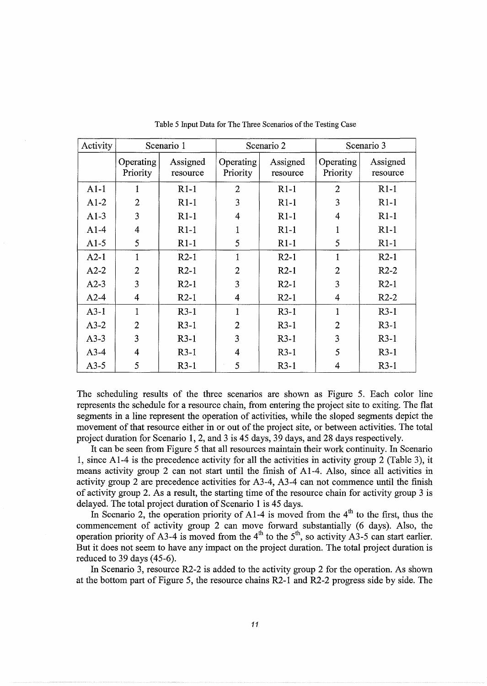| Activity |                       | Scenario 1           |                       | Scenario 2           | Scenario 3            |                      |  |
|----------|-----------------------|----------------------|-----------------------|----------------------|-----------------------|----------------------|--|
|          | Operating<br>Priority | Assigned<br>resource | Operating<br>Priority | Assigned<br>resource | Operating<br>Priority | Assigned<br>resource |  |
| $A1-1$   | 1                     | $R1-1$               | $\overline{2}$        | $R1-1$               | $\overline{2}$        | $R1-1$               |  |
| $A1-2$   | $\overline{2}$        | $R1-1$               | 3                     | $R1-1$               | 3                     | $R1-1$               |  |
| $A1-3$   | $\overline{3}$        | $R1-1$               | $\overline{4}$        | $R1-1$               | $\overline{4}$        | $R1-1$               |  |
| $A1-4$   | 4                     | $R1-1$               |                       | $R1-1$               | 1                     | $R1-1$               |  |
| $A1-5$   | 5                     | $R1-1$               | 5                     | $R1-1$               | 5                     | $R1-1$               |  |
| $A2-1$   |                       | $R2-1$               |                       | $R2-1$               | 1                     | $R2-1$               |  |
| $A2-2$   | $\overline{2}$        | $R2-1$               | $\overline{2}$        | $R2-1$               | $\overline{2}$        | $R2-2$               |  |
| $A2-3$   | 3                     | $R2-1$               | 3                     | $R2-1$               | 3                     | $R2-1$               |  |
| $A2-4$   | 4                     | $R2-1$               | 4                     | $R2-1$               | 4                     | $R2-2$               |  |
| $A3-1$   | 1                     | $R3-1$               | 1                     | $R3-1$               | $\mathbf{1}$          | $R3-1$               |  |
| $A3-2$   | $\overline{2}$        | $R3-1$               | $\overline{2}$        | $R3-1$               | $\overline{2}$        | $R3-1$               |  |
| $A3-3$   | 3                     | $R3-1$               | 3                     | $R3-1$               | 3                     | $R3-1$               |  |
| $A3-4$   | 4                     | $R3-1$               | 4                     | $R3-1$               | 5                     | $R3-1$               |  |
| $A3-5$   | 5                     | $R3-1$               | 5                     | $R3-1$               | 4                     | $R3-1$               |  |

Table 5 Input Data for The Three Scenarios of the Testing Case

The scheduling results of the three scenarios are shown as Figure 5. Each color line represents the schedule for a resource chain, from entering the project site to exiting. The flat segments in a line represent the operation of activities, while the sloped segments depict the movement of that resource either in or out of the project site, or between activities. The total project duration for Scenario 1, 2, and 3 is 45 days, 39 days, and 28 days respectively.

It can be seen from Figure 5 that all resources maintain their work continuity. In Scenario 1, since A1-4 is the precedence activity for all the activities in activity group 2 (Table 3), it means activity group 2 can not start until the finish of A1-4. Also, since all activities in activity group 2 are precedence activities for A3-4, A3-4 can not commence until the finish of activity group 2. As a result, the starting time of the resource chain for activity group 3 is delayed. The total project duration of Scenario 1 is 45 days.

In Scenario 2, the operation priority of A1-4 is moved from the  $4<sup>th</sup>$  to the first, thus the commencement of activity group 2 can move forward substantially (6 days). Also, the operation priority of A3-4 is moved from the  $4<sup>th</sup>$  to the  $5<sup>th</sup>$ , so activity A3-5 can start earlier. But it does not seem to have any impact on the project duration. The total project duration is reduced to 39 days  $(45-6)$ .

In Scenario 3, resource R2-2 is added to the activity group 2 for the operation. As shown at the bottom part of Figure 5, the resource chains R2-l and R2-2 progress side by side. The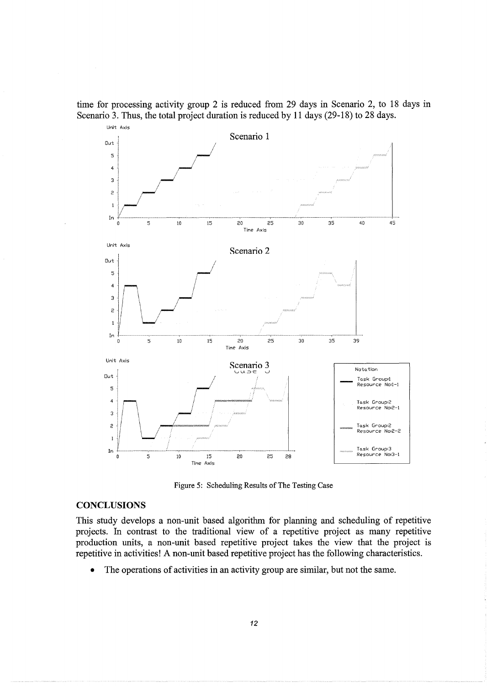time for processing activity group 2 is reduced from 29 days in Scenario 2, to 18 days in Scenario 3. Thus, the total project duration is reduced by 11 days (29-18) to 28 days.



Figure 5: Scheduling Results of The Testing Case

## **CONCLUSIONS**

This study develops a non-unit based algorithm for planning and scheduling of repetitive projects. In contrast to the traditional view of a repetitive project as many repetitive production units, a non-unit based repetitive project takes the view that the project is repetitive in activities! A non-unit based repetitive project has the following characteristics.

The operations of activities in an activity group are similar, but not the same.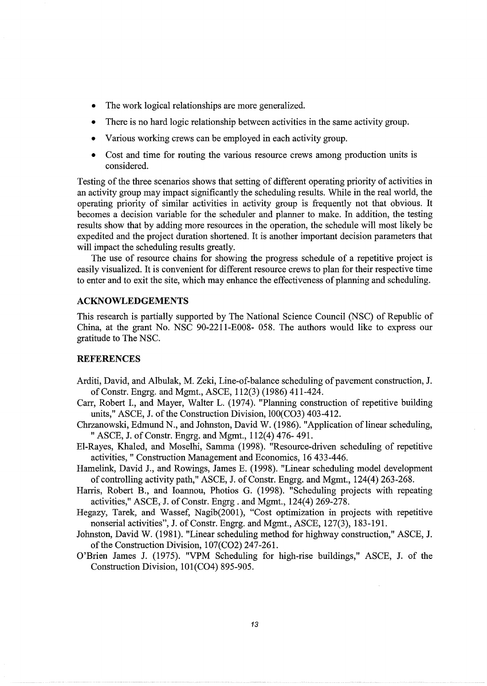- The work logical relationships are more generalized.
- There is no hard logic relationship between activities in the same activity group.
- Various working crews can be employed in each activity group.
- Cost and time for routing the various resource crews among production units is considered.

Testing of the three scenarios shows that setting of different operating priority of activities in an activity group may impact significantly the scheduling results. While in the real world, the operating priority of similar activities in activity group is frequently not that obvious. It becomes a decision variable for the scheduler and planner to make. In addition, the testing results show that by adding more resources in the operation, the schedule will most likely be expedited and the project duration shortened. It is another important decision parameters that will impact the scheduling results greatly.

The use of resource chains for showing the progress schedule of a repetitive project is easily visualized. It is convenient for different resource crews to plan for their respective time to enter and to exit the site, which may enhance the effectiveness of planning and scheduling.

## **ACKNOWLEDGEMENTS**

This research is partially supported by The National Science Council (NSC) of Republic of China, at the grant No. NSC 90-2211-E008- 058. The authors would like to express our gratitude to The NSC.

## **REFERENCES**

- Arditi, David, and Albulak, M. Zeki, Line-of-balance scheduling of pavement construction, J. ofConstr. Engrg. and Mgmt., ASCE, 112(3) (1986) 411-424.
- Carr, Robert I., and Mayer, Walter L. (1974). "Planning construction of repetitive building units," ASCE, J. of the Construction Division, 100(C03) 403-412.
- Chrzanowski, Edmund N., and Johnston, David W. (1986). "Application of linear scheduling, " ASCE, J. of Constr. Engrg. and Mgmt., 112(4) 476-491.
- El-Rayes, Khaled, and Moselhi, Samma (1998). "Resource-driven scheduling of repetitive activities," Construction Management and Economics, 16 433-446.
- Hamelink, David J., and Rowings, James E. (1998). "Linear scheduling model development of controlling activity path," ASCE, J. of Constr. Engrg. and Mgmt., 124(4) 263-268.
- Harris, Robert B., and Ioannou, Photios G. (1998). "Scheduling projects with repeating activities," ASCE, J. of Constr. Engrg. and Mgmt., 124(4) 269-278.
- Hegazy, Tarek, and Wassef, Nagib(2001), "Cost optimization in projects with repetitive nonserial activities", J. of Constr. Engrg. and Mgmt., ASCE, 127(3), 183-191.
- Johnston, David W. (1981). "Linear scheduling method for highway construction," ASCE, J. of the Construction Division, 107(C02) 247-261.
- O'Brien James J. (1975). "VPM Scheduling for high-rise buildings," ASCE, J. of the Construction Division, 101(C04) 895-905.